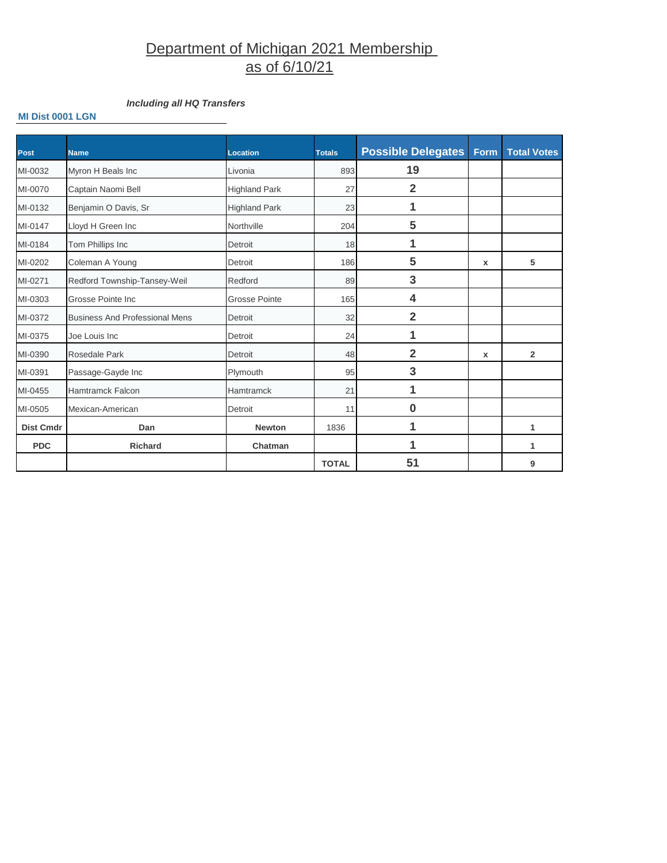# Department of Michigan 2021 Membership as of 6/10/21

# *Including all HQ Transfers*

## **MI Dist 0001 LGN**

| <b>Post</b>      | <b>Name</b>                           | <b>Location</b>      | <b>Totals</b> | <b>Possible Delegates</b> | Form         | <b>Total Votes</b> |
|------------------|---------------------------------------|----------------------|---------------|---------------------------|--------------|--------------------|
| MI-0032          | Myron H Beals Inc                     | Livonia              | 893           | 19                        |              |                    |
| MI-0070          | Captain Naomi Bell                    | <b>Highland Park</b> | 27            | $\overline{2}$            |              |                    |
| MI-0132          | Benjamin O Davis, Sr                  | <b>Highland Park</b> | 23            | 1                         |              |                    |
| MI-0147          | Lloyd H Green Inc                     | Northville           | 204           | 5                         |              |                    |
| MI-0184          | Tom Phillips Inc                      | Detroit              | 18            | 1                         |              |                    |
| MI-0202          | Coleman A Young                       | Detroit              | 186           | 5                         | $\mathbf{x}$ | 5                  |
| MI-0271          | Redford Township-Tansey-Weil          | Redford              | 89            | 3                         |              |                    |
| MI-0303          | Grosse Pointe Inc                     | <b>Grosse Pointe</b> | 165           | 4                         |              |                    |
| MI-0372          | <b>Business And Professional Mens</b> | Detroit              | 32            | $\overline{2}$            |              |                    |
| MI-0375          | Joe Louis Inc                         | Detroit              | 24            | 1                         |              |                    |
| MI-0390          | Rosedale Park                         | Detroit              | 48            | $\overline{2}$            | $\mathbf{x}$ | $\overline{2}$     |
| MI-0391          | Passage-Gayde Inc                     | Plymouth             | 95            | 3                         |              |                    |
| MI-0455          | Hamtramck Falcon                      | <b>Hamtramck</b>     | 21            | 1                         |              |                    |
| MI-0505          | Mexican-American                      | Detroit              | 11            | $\bf{0}$                  |              |                    |
| <b>Dist Cmdr</b> | Dan                                   | <b>Newton</b>        | 1836          | 1                         |              | 1                  |
| <b>PDC</b>       | <b>Richard</b>                        | Chatman              |               | 1                         |              | 1                  |
|                  |                                       |                      | <b>TOTAL</b>  | 51                        |              | 9                  |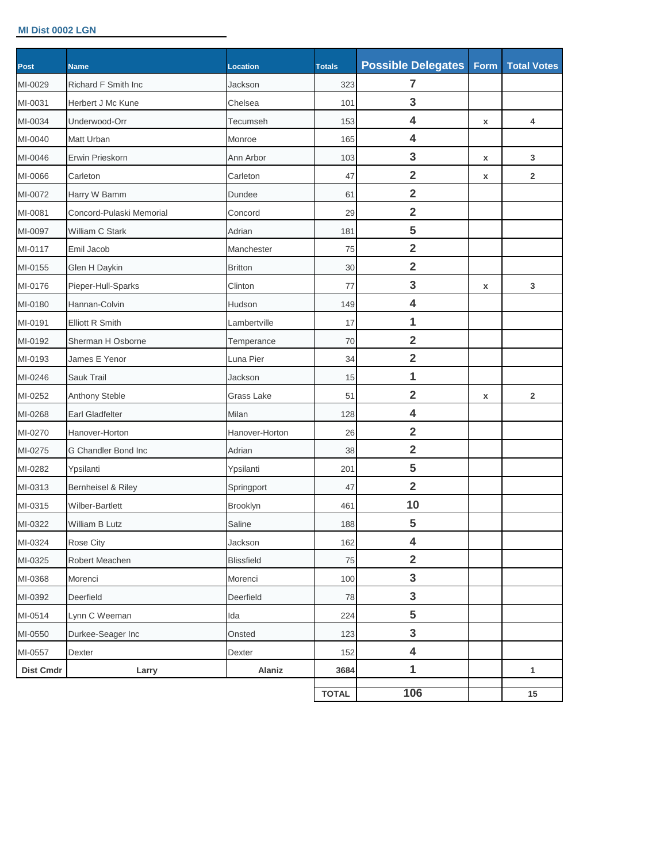## **MI Dist 0002 LGN**

| Post             | <b>Name</b>              | Location          | <b>Totals</b> | <b>Possible Delegates</b> | Form | <b>Total Votes</b>      |
|------------------|--------------------------|-------------------|---------------|---------------------------|------|-------------------------|
| MI-0029          | Richard F Smith Inc      | Jackson           | 323           | $\overline{7}$            |      |                         |
| MI-0031          | Herbert J Mc Kune        | Chelsea           | 101           | 3                         |      |                         |
| MI-0034          | Underwood-Orr            | Tecumseh          | 153           | 4                         | x    | 4                       |
| MI-0040          | Matt Urban               | Monroe            | 165           | 4                         |      |                         |
| MI-0046          | Erwin Prieskorn          | Ann Arbor         | 103           | 3                         | X    | 3                       |
| MI-0066          | Carleton                 | Carleton          | 47            | $\overline{\mathbf{2}}$   | x    | $\overline{\mathbf{2}}$ |
| MI-0072          | Harry W Bamm             | Dundee            | 61            | $\overline{\mathbf{2}}$   |      |                         |
| MI-0081          | Concord-Pulaski Memorial | Concord           | 29            | $\overline{\mathbf{2}}$   |      |                         |
| MI-0097          | William C Stark          | Adrian            | 181           | 5                         |      |                         |
| MI-0117          | Emil Jacob               | Manchester        | 75            | $\overline{\mathbf{2}}$   |      |                         |
| MI-0155          | Glen H Daykin            | <b>Britton</b>    | 30            | $\overline{\mathbf{2}}$   |      |                         |
| MI-0176          | Pieper-Hull-Sparks       | Clinton           | 77            | 3                         | X    | 3                       |
| MI-0180          | Hannan-Colvin            | Hudson            | 149           | 4                         |      |                         |
| MI-0191          | <b>Elliott R Smith</b>   | Lambertville      | 17            | 1                         |      |                         |
| MI-0192          | Sherman H Osborne        | Temperance        | 70            | $\overline{2}$            |      |                         |
| MI-0193          | James E Yenor            | Luna Pier         | 34            | $\overline{\mathbf{2}}$   |      |                         |
| MI-0246          | Sauk Trail               | Jackson           | 15            | 1                         |      |                         |
| MI-0252          | Anthony Steble           | Grass Lake        | 51            | $\overline{\mathbf{2}}$   | x    | $\overline{2}$          |
| MI-0268          | <b>Earl Gladfelter</b>   | Milan             | 128           | $\overline{\mathbf{4}}$   |      |                         |
| MI-0270          | Hanover-Horton           | Hanover-Horton    | 26            | $\overline{2}$            |      |                         |
| MI-0275          | G Chandler Bond Inc      | Adrian            | 38            | $\overline{\mathbf{2}}$   |      |                         |
| MI-0282          | Ypsilanti                | Ypsilanti         | 201           | 5                         |      |                         |
| MI-0313          | Bernheisel & Riley       | Springport        | 47            | $\overline{2}$            |      |                         |
| MI-0315          | <b>Wilber-Bartlett</b>   | Brooklyn          | 461           | 10                        |      |                         |
| MI-0322          | William B Lutz           | Saline            | 188           | 5                         |      |                         |
| MI-0324          | Rose City                | Jackson           | 162           | 4                         |      |                         |
| MI-0325          | Robert Meachen           | <b>Blissfield</b> | 75            | $\overline{\mathbf{2}}$   |      |                         |
| MI-0368          | Morenci                  | Morenci           | 100           | $\mathbf{3}$              |      |                         |
| MI-0392          | Deerfield                | Deerfield         | 78            | $\mathbf{3}$              |      |                         |
| MI-0514          | Lynn C Weeman            | Ida               | 224           | 5                         |      |                         |
| MI-0550          | Durkee-Seager Inc        | Onsted            | 123           | $\mathbf{3}$              |      |                         |
| MI-0557          | Dexter                   | Dexter            | 152           | $\overline{\mathbf{4}}$   |      |                         |
| <b>Dist Cmdr</b> | Larry                    | Alaniz            | 3684          | 1                         |      | 1                       |
|                  |                          |                   | <b>TOTAL</b>  | 106                       |      | 15                      |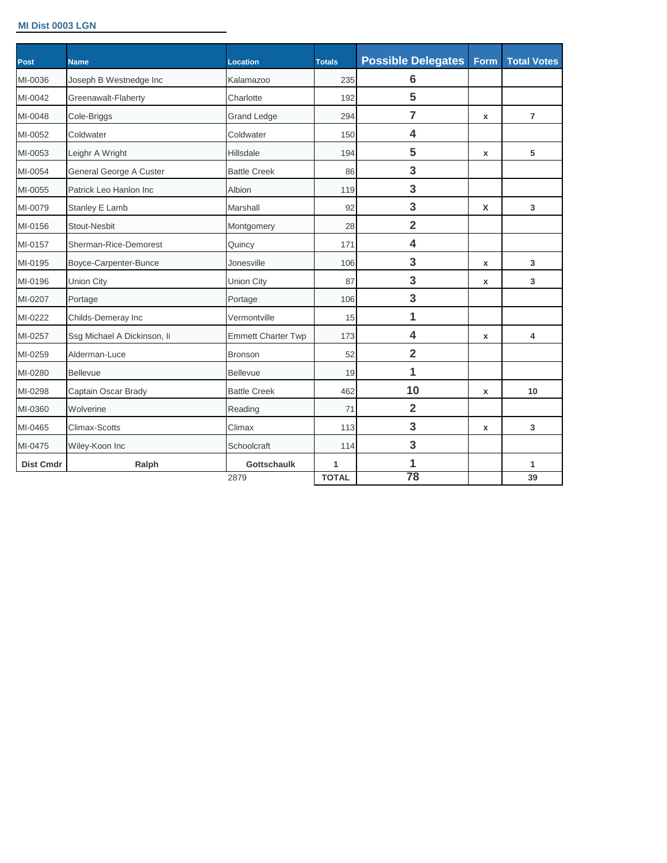#### **MI Dist 0003 LGN**

| Post             | <b>Name</b>                 | <b>Location</b>           | <b>Totals</b> | <b>Possible Delegates</b> | <b>Form</b>  | <b>Total Votes</b> |
|------------------|-----------------------------|---------------------------|---------------|---------------------------|--------------|--------------------|
| MI-0036          | Joseph B Westnedge Inc      | Kalamazoo                 | 235           | $6\phantom{1}6$           |              |                    |
| MI-0042          | Greenawalt-Flaherty         | Charlotte                 | 192           | 5                         |              |                    |
| MI-0048          | Cole-Briggs                 | <b>Grand Ledge</b>        | 294           | $\overline{7}$            | x            | $\overline{7}$     |
| MI-0052          | Coldwater                   | Coldwater                 | 150           | 4                         |              |                    |
| MI-0053          | Leighr A Wright             | Hillsdale                 | 194           | 5                         | $\mathbf{x}$ | 5                  |
| MI-0054          | General George A Custer     | <b>Battle Creek</b>       | 86            | 3                         |              |                    |
| MI-0055          | Patrick Leo Hanlon Inc      | Albion                    | 119           | 3                         |              |                    |
| MI-0079          | Stanley E Lamb              | Marshall                  | 92            | 3                         | X            | 3                  |
| MI-0156          | <b>Stout-Nesbit</b>         | Montgomery                | 28            | $\overline{2}$            |              |                    |
| MI-0157          | Sherman-Rice-Demorest       | Quincy                    | 171           | 4                         |              |                    |
| MI-0195          | Boyce-Carpenter-Bunce       | Jonesville                | 106           | 3                         | x            | 3                  |
| MI-0196          | <b>Union City</b>           | <b>Union City</b>         | 87            | 3                         | x            | 3                  |
| MI-0207          | Portage                     | Portage                   | 106           | 3                         |              |                    |
| MI-0222          | Childs-Demeray Inc          | Vermontville              | 15            | $\overline{1}$            |              |                    |
| MI-0257          | Ssg Michael A Dickinson, li | <b>Emmett Charter Twp</b> | 173           | 4                         | x            | 4                  |
| MI-0259          | Alderman-Luce               | <b>Bronson</b>            | 52            | $\overline{2}$            |              |                    |
| MI-0280          | <b>Bellevue</b>             | <b>Bellevue</b>           | 19            | $\overline{1}$            |              |                    |
| MI-0298          | Captain Oscar Brady         | <b>Battle Creek</b>       | 462           | 10                        | x            | 10                 |
| MI-0360          | Wolverine                   | Reading                   | 71            | $\overline{2}$            |              |                    |
| MI-0465          | Climax-Scotts               | Climax                    | 113           | 3                         | x            | 3                  |
| MI-0475          | Wiley-Koon Inc              | Schoolcraft               | 114           | 3                         |              |                    |
| <b>Dist Cmdr</b> | Ralph                       | <b>Gottschaulk</b>        | 1             | 1                         |              | 1                  |
|                  |                             | 2879                      | <b>TOTAL</b>  | 78                        |              | 39                 |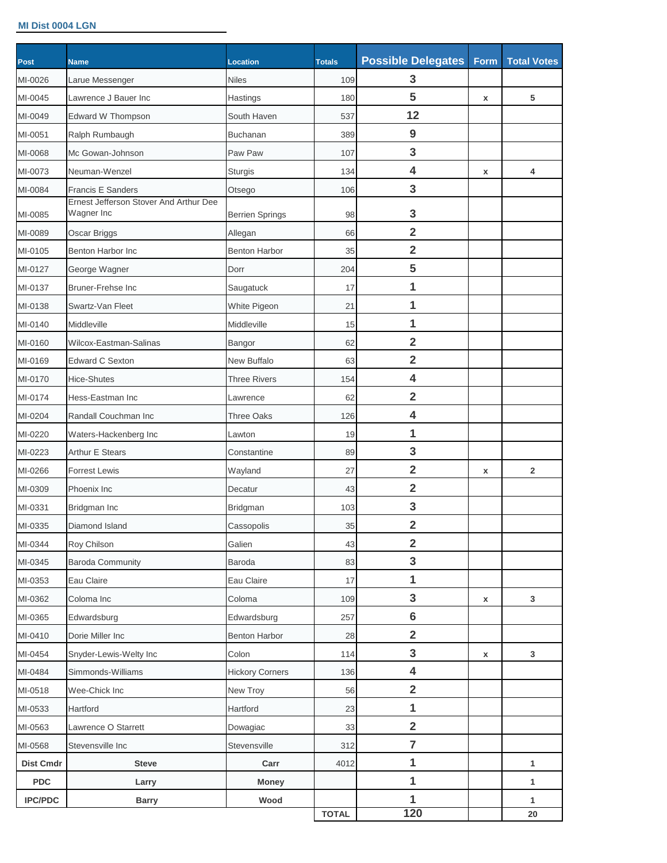#### **MI Dist 0004 LGN**

| <b>Post</b>      | <b>Name</b>                                          | Location               | <b>Totals</b> | <b>Possible Delegates</b> | Form               | <b>Total Votes</b> |
|------------------|------------------------------------------------------|------------------------|---------------|---------------------------|--------------------|--------------------|
| MI-0026          | Larue Messenger                                      | <b>Niles</b>           | 109           | 3                         |                    |                    |
| MI-0045          | Lawrence J Bauer Inc.                                | Hastings               | 180           | 5                         | X                  | 5                  |
| MI-0049          | Edward W Thompson                                    | South Haven            | 537           | 12                        |                    |                    |
| MI-0051          | Ralph Rumbaugh                                       | <b>Buchanan</b>        | 389           | 9                         |                    |                    |
| MI-0068          | Mc Gowan-Johnson                                     | Paw Paw                | 107           | 3                         |                    |                    |
| MI-0073          | Neuman-Wenzel                                        | Sturgis                | 134           | 4                         | $\pmb{\mathsf{x}}$ | 4                  |
| MI-0084          | <b>Francis E Sanders</b>                             | Otsego                 | 106           | 3                         |                    |                    |
| MI-0085          | Ernest Jefferson Stover And Arthur Dee<br>Wagner Inc | <b>Berrien Springs</b> | 98            | 3                         |                    |                    |
| MI-0089          | Oscar Briggs                                         | Allegan                | 66            | $\overline{\mathbf{2}}$   |                    |                    |
| MI-0105          | Benton Harbor Inc                                    | <b>Benton Harbor</b>   | 35            | $\overline{\mathbf{2}}$   |                    |                    |
| MI-0127          | George Wagner                                        | Dorr                   | 204           | 5                         |                    |                    |
| MI-0137          | <b>Bruner-Frehse Inc</b>                             | Saugatuck              | 17            | 1                         |                    |                    |
| MI-0138          | Swartz-Van Fleet                                     | White Pigeon           | 21            | 1                         |                    |                    |
| MI-0140          | Middleville                                          | Middleville            | 15            | 1                         |                    |                    |
| MI-0160          | Wilcox-Eastman-Salinas                               | Bangor                 | 62            | $\overline{\mathbf{2}}$   |                    |                    |
| MI-0169          | <b>Edward C Sexton</b>                               | New Buffalo            | 63            | $\overline{2}$            |                    |                    |
| MI-0170          | <b>Hice-Shutes</b>                                   | <b>Three Rivers</b>    | 154           | 4                         |                    |                    |
| MI-0174          | Hess-Eastman Inc                                     | Lawrence               | 62            | $\overline{\mathbf{2}}$   |                    |                    |
| MI-0204          | Randall Couchman Inc                                 | Three Oaks             | 126           | 4                         |                    |                    |
| MI-0220          | Waters-Hackenberg Inc                                | Lawton                 | 19            | 1                         |                    |                    |
| MI-0223          | <b>Arthur E Stears</b>                               | Constantine            | 89            | 3                         |                    |                    |
| MI-0266          | <b>Forrest Lewis</b>                                 | Wayland                | 27            | $\overline{\mathbf{2}}$   | X                  | $\overline{2}$     |
| MI-0309          | Phoenix Inc                                          | Decatur                | 43            | $\overline{\mathbf{2}}$   |                    |                    |
| MI-0331          | Bridgman Inc                                         | Bridgman               | 103           | 3                         |                    |                    |
| MI-0335          | Diamond Island                                       | Cassopolis             | 35            | $\overline{2}$            |                    |                    |
| MI-0344          | Roy Chilson                                          | Galien                 | 43            | $\overline{2}$            |                    |                    |
| MI-0345          | <b>Baroda Community</b>                              | Baroda                 | 83            | $\mathbf{3}$              |                    |                    |
| MI-0353          | Eau Claire                                           | Eau Claire             | 17            | 1                         |                    |                    |
| MI-0362          | Coloma Inc                                           | Coloma                 | 109           | $\mathbf{3}$              | $\pmb{\mathsf{x}}$ | $\mathbf{3}$       |
| MI-0365          | Edwardsburg                                          | Edwardsburg            | 257           | $6\phantom{1}6$           |                    |                    |
| MI-0410          | Dorie Miller Inc                                     | <b>Benton Harbor</b>   | 28            | $\overline{\mathbf{2}}$   |                    |                    |
| MI-0454          | Snyder-Lewis-Welty Inc                               | Colon                  | 114           | $\mathbf{3}$              | X                  | $\mathbf{3}$       |
| MI-0484          | Simmonds-Williams                                    | <b>Hickory Corners</b> | 136           | $\overline{\mathbf{4}}$   |                    |                    |
| MI-0518          | Wee-Chick Inc                                        | New Troy               | 56            | $\overline{\mathbf{2}}$   |                    |                    |
| MI-0533          | Hartford                                             | Hartford               | 23            | $\mathbf 1$               |                    |                    |
| MI-0563          | Lawrence O Starrett                                  | Dowagiac               | 33            | $\overline{2}$            |                    |                    |
| MI-0568          | Stevensville Inc                                     | Stevensville           | 312           | $\overline{7}$            |                    |                    |
| <b>Dist Cmdr</b> | <b>Steve</b>                                         | Carr                   | 4012          | 1                         |                    | 1                  |
| <b>PDC</b>       | Larry                                                | <b>Money</b>           |               | 1                         |                    | $\mathbf{1}$       |
| <b>IPC/PDC</b>   | <b>Barry</b>                                         | Wood                   |               | 1                         |                    | $\mathbf{1}$       |
|                  |                                                      |                        | <b>TOTAL</b>  | 120                       |                    | ${\bf 20}$         |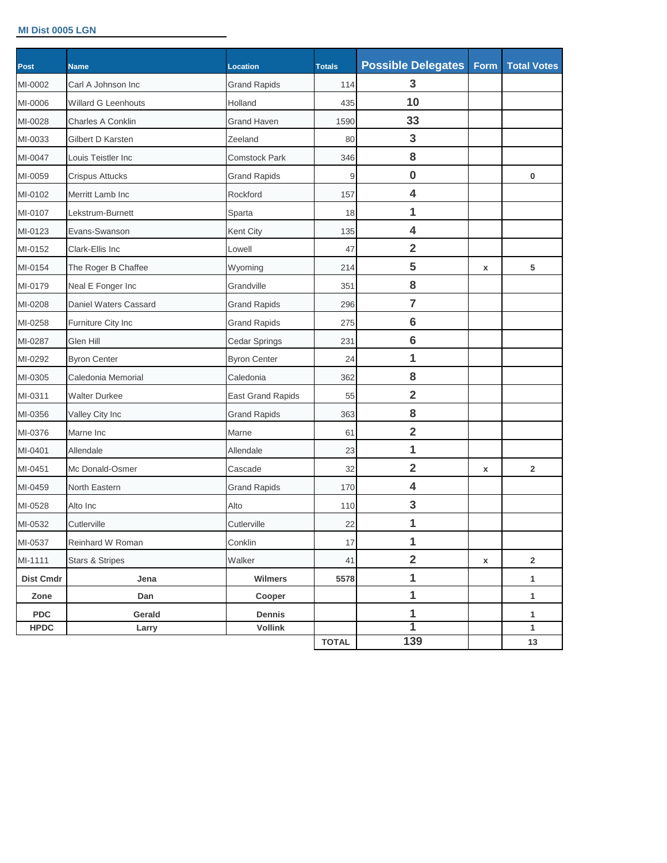## **MI Dist 0005 LGN**

| MI-0002<br>MI-0006<br>MI-0028<br>MI-0033<br>MI-0047 | Carl A Johnson Inc<br><b>Willard G Leenhouts</b><br>Charles A Conklin<br>Gilbert D Karsten | <b>Grand Rapids</b><br>Holland<br><b>Grand Haven</b> | 114<br>435   | 3<br>10                 |   |                         |
|-----------------------------------------------------|--------------------------------------------------------------------------------------------|------------------------------------------------------|--------------|-------------------------|---|-------------------------|
|                                                     |                                                                                            |                                                      |              |                         |   |                         |
|                                                     |                                                                                            |                                                      |              |                         |   |                         |
|                                                     |                                                                                            |                                                      | 1590         | 33                      |   |                         |
|                                                     |                                                                                            | Zeeland                                              | 80           | 3                       |   |                         |
|                                                     | Louis Teistler Inc                                                                         | <b>Comstock Park</b>                                 | 346          | 8                       |   |                         |
| MI-0059                                             | Crispus Attucks                                                                            | <b>Grand Rapids</b>                                  | 9            | $\bf{0}$                |   | 0                       |
| MI-0102                                             | Merritt Lamb Inc                                                                           | Rockford                                             | 157          | 4                       |   |                         |
| MI-0107                                             | Lekstrum-Burnett                                                                           | Sparta                                               | 18           | 1                       |   |                         |
| MI-0123                                             | Evans-Swanson                                                                              | Kent City                                            | 135          | 4                       |   |                         |
| MI-0152                                             | Clark-Ellis Inc                                                                            | Lowell                                               | 47           | $\overline{\mathbf{2}}$ |   |                         |
| MI-0154                                             | The Roger B Chaffee                                                                        | Wyoming                                              | 214          | 5                       | x | 5                       |
| MI-0179                                             | Neal E Fonger Inc                                                                          | Grandville                                           | 351          | 8                       |   |                         |
| MI-0208                                             | Daniel Waters Cassard                                                                      | <b>Grand Rapids</b>                                  | 296          | $\overline{7}$          |   |                         |
| MI-0258                                             | Furniture City Inc                                                                         | <b>Grand Rapids</b>                                  | 275          | $6\phantom{1}6$         |   |                         |
| Glen Hill<br>MI-0287                                |                                                                                            | Cedar Springs                                        | 231          | $6\phantom{1}6$         |   |                         |
| MI-0292                                             | <b>Byron Center</b>                                                                        | <b>Byron Center</b>                                  | 24           | 1                       |   |                         |
| MI-0305                                             | Caledonia Memorial                                                                         | Caledonia                                            | 362          | 8                       |   |                         |
| MI-0311                                             | <b>Walter Durkee</b>                                                                       | <b>East Grand Rapids</b>                             | 55           | $\overline{\mathbf{2}}$ |   |                         |
| MI-0356                                             | Valley City Inc                                                                            | <b>Grand Rapids</b>                                  | 363          | 8                       |   |                         |
| MI-0376<br>Marne Inc                                |                                                                                            | Marne                                                | 61           | $\overline{\mathbf{2}}$ |   |                         |
| MI-0401<br>Allendale                                |                                                                                            | Allendale                                            | 23           | 1                       |   |                         |
| MI-0451                                             | Mc Donald-Osmer                                                                            | Cascade                                              | 32           | $\overline{2}$          | x | $\overline{2}$          |
| MI-0459                                             | North Eastern                                                                              | <b>Grand Rapids</b>                                  | 170          | 4                       |   |                         |
| MI-0528<br>Alto Inc                                 |                                                                                            | Alto                                                 | 110          | 3                       |   |                         |
| MI-0532<br>Cutlerville                              |                                                                                            | Cutlerville                                          | 22           | 1                       |   |                         |
| MI-0537                                             | Reinhard W Roman                                                                           | Conklin                                              | 17           | 1                       |   |                         |
| MI-1111                                             | <b>Stars &amp; Stripes</b>                                                                 | Walker                                               | 41           | $\overline{\mathbf{2}}$ | X | $\overline{\mathbf{2}}$ |
| <b>Dist Cmdr</b>                                    | Jena                                                                                       | <b>Wilmers</b>                                       | 5578         | 1                       |   | 1                       |
| Zone                                                | Dan                                                                                        | Cooper                                               |              | 1                       |   | $\mathbf{1}$            |
| <b>PDC</b>                                          | Gerald                                                                                     | Dennis                                               |              | 1                       |   | 1                       |
| <b>HPDC</b>                                         | Larry                                                                                      | <b>Vollink</b>                                       | <b>TOTAL</b> | 1<br>139                |   | 1<br>13                 |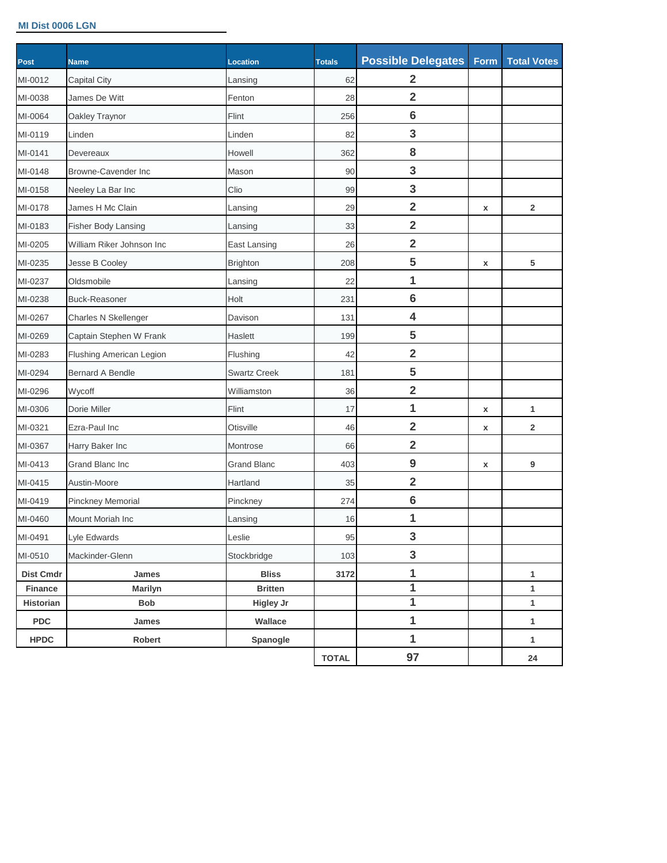#### **MI Dist 0006 LGN**

| Post             | <b>Name</b>                | Location            | <b>Totals</b> | <b>Possible Delegates</b> | Form | <b>Total Votes</b> |
|------------------|----------------------------|---------------------|---------------|---------------------------|------|--------------------|
| MI-0012          | Capital City               | Lansing             | 62            | $\overline{2}$            |      |                    |
| MI-0038          | James De Witt              | Fenton              | 28            | $\overline{\mathbf{2}}$   |      |                    |
| MI-0064          | Oakley Traynor             | Flint               | 256           | $6\phantom{1}6$           |      |                    |
| MI-0119          | Linden                     | Linden              | 82            | 3                         |      |                    |
| MI-0141          | Devereaux                  | Howell              | 362           | 8                         |      |                    |
| MI-0148          | <b>Browne-Cavender Inc</b> | Mason               | 90            | 3                         |      |                    |
| MI-0158          | Neeley La Bar Inc          | Clio                | 99            | 3                         |      |                    |
| MI-0178          | James H Mc Clain           | Lansing             | 29            | $\overline{\mathbf{2}}$   | x    | $\overline{2}$     |
| MI-0183          | Fisher Body Lansing        | Lansing             | 33            | $\overline{\mathbf{2}}$   |      |                    |
| MI-0205          | William Riker Johnson Inc  | East Lansing        | 26            | $\overline{\mathbf{2}}$   |      |                    |
| MI-0235          | Jesse B Cooley             | <b>Brighton</b>     | 208           | 5                         | x    | 5                  |
| MI-0237          | Oldsmobile                 | Lansing             | 22            | 1                         |      |                    |
| MI-0238          | <b>Buck-Reasoner</b>       | Holt                | 231           | $6\phantom{1}6$           |      |                    |
| MI-0267          | Charles N Skellenger       | Davison             | 131           | 4                         |      |                    |
| MI-0269          | Captain Stephen W Frank    | Haslett             | 199           | 5                         |      |                    |
| MI-0283          | Flushing American Legion   | Flushing            | 42            | $\overline{\mathbf{2}}$   |      |                    |
| MI-0294          | <b>Bernard A Bendle</b>    | <b>Swartz Creek</b> | 181           | 5                         |      |                    |
| MI-0296          | Wycoff                     | Williamston         | 36            | $\overline{\mathbf{2}}$   |      |                    |
| MI-0306          | Dorie Miller               | Flint               | 17            | 1                         | x    | 1                  |
| MI-0321          | Ezra-Paul Inc              | Otisville           | 46            | $\overline{2}$            | X    | $\overline{2}$     |
| MI-0367          | Harry Baker Inc            | Montrose            | 66            | $\overline{2}$            |      |                    |
| MI-0413          | Grand Blanc Inc            | <b>Grand Blanc</b>  | 403           | $\boldsymbol{9}$          | X    | 9                  |
| MI-0415          | Austin-Moore               | Hartland            | 35            | $\overline{2}$            |      |                    |
| MI-0419          | Pinckney Memorial          | Pinckney            | 274           | $6\phantom{1}6$           |      |                    |
| MI-0460          | <b>Mount Moriah Inc</b>    | Lansing             | 16            | 1                         |      |                    |
| MI-0491          | Lyle Edwards               | Leslie              | 95            | $\mathbf{3}$              |      |                    |
| MI-0510          | Mackinder-Glenn            | Stockbridge         | 103           | 3                         |      |                    |
| <b>Dist Cmdr</b> | James                      | <b>Bliss</b>        | 3172          | 1                         |      | 1                  |
| Finance          | <b>Marilyn</b>             | <b>Britten</b>      |               | $\overline{1}$            |      | 1                  |
| Historian        | Bob                        | <b>Higley Jr</b>    |               | 1                         |      | $\mathbf{1}$       |
| <b>PDC</b>       | James                      | Wallace             |               | 1                         |      | 1                  |
| <b>HPDC</b>      | Robert                     | Spanogle            |               | 1                         |      | 1                  |
|                  |                            |                     | <b>TOTAL</b>  | 97                        |      | 24                 |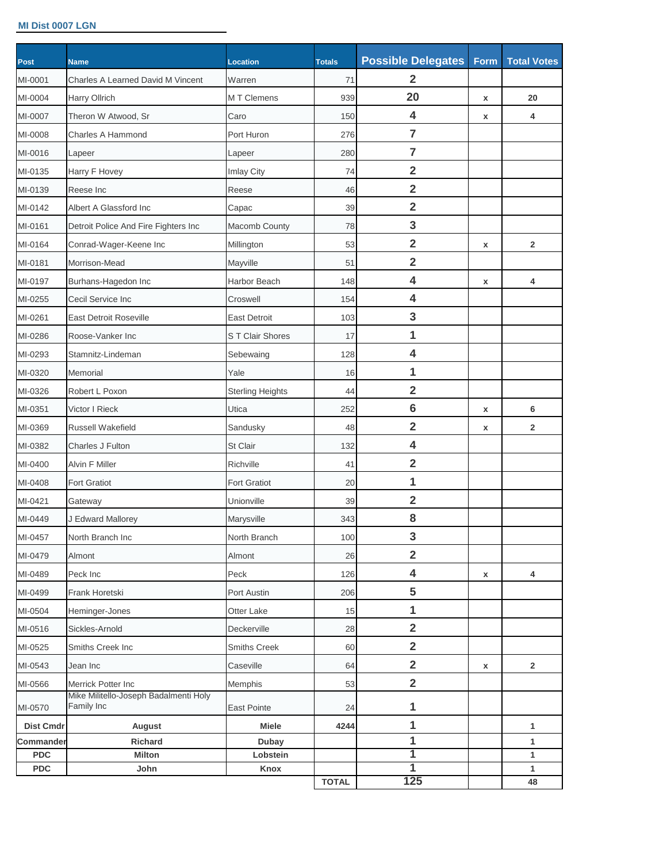#### **MI Dist 0007 LGN**

| Post             | <b>Name</b>                                         | Location                | <b>Totals</b> | <b>Possible Delegates</b> | Form               | <b>Total Votes</b> |
|------------------|-----------------------------------------------------|-------------------------|---------------|---------------------------|--------------------|--------------------|
| MI-0001          | <b>Charles A Learned David M Vincent</b>            | Warren                  | 71            | $\overline{2}$            |                    |                    |
| MI-0004          | <b>Harry Ollrich</b>                                | <b>MT</b> Clemens       | 939           | 20                        | x                  | 20                 |
| MI-0007          | Theron W Atwood, Sr                                 | Caro                    | 150           | 4                         | $\pmb{\mathsf{x}}$ | 4                  |
| MI-0008          | Charles A Hammond                                   | Port Huron              | 276           | $\overline{7}$            |                    |                    |
| MI-0016          | Lapeer                                              | Lapeer                  | 280           | 7                         |                    |                    |
| MI-0135          | Harry F Hovey                                       | Imlay City              | 74            | $\overline{2}$            |                    |                    |
| MI-0139          | Reese Inc                                           | Reese                   | 46            | $\overline{2}$            |                    |                    |
| MI-0142          | Albert A Glassford Inc                              | Capac                   | 39            | $\overline{2}$            |                    |                    |
| MI-0161          | Detroit Police And Fire Fighters Inc                | Macomb County           | 78            | 3                         |                    |                    |
| MI-0164          | Conrad-Wager-Keene Inc                              | Millington              | 53            | $\overline{2}$            | $\pmb{\mathsf{x}}$ | $\overline{2}$     |
| MI-0181          | Morrison-Mead                                       | Mayville                | 51            | $\overline{2}$            |                    |                    |
| MI-0197          | Burhans-Hagedon Inc                                 | <b>Harbor Beach</b>     | 148           | 4                         | $\pmb{\mathsf{x}}$ | 4                  |
| MI-0255          | Cecil Service Inc                                   | Croswell                | 154           | 4                         |                    |                    |
| MI-0261          | <b>East Detroit Roseville</b>                       | <b>East Detroit</b>     | 103           | 3                         |                    |                    |
| MI-0286          | Roose-Vanker Inc                                    | S T Clair Shores        | 17            | 1                         |                    |                    |
| MI-0293          | Stamnitz-Lindeman                                   | Sebewaing               | 128           | 4                         |                    |                    |
| MI-0320          | Memorial                                            | Yale                    | 16            | 1                         |                    |                    |
| MI-0326          | Robert L Poxon                                      | <b>Sterling Heights</b> | 44            | $\overline{2}$            |                    |                    |
| MI-0351          | Victor I Rieck                                      | Utica                   | 252           | $6\phantom{1}6$           | X                  | $6\phantom{1}6$    |
| MI-0369          | <b>Russell Wakefield</b>                            | Sandusky                | 48            | $\overline{2}$            | X                  | $\overline{2}$     |
| MI-0382          | Charles J Fulton                                    | St Clair                | 132           | 4                         |                    |                    |
| MI-0400          | <b>Alvin F Miller</b>                               | Richville               | 41            | $\overline{2}$            |                    |                    |
| MI-0408          | <b>Fort Gratiot</b>                                 | <b>Fort Gratiot</b>     | 20            | 1                         |                    |                    |
| MI-0421          | Gateway                                             | Unionville              | 39            | $\overline{2}$            |                    |                    |
| MI-0449          | J Edward Mallorey                                   | Marysville              | 343           | 8                         |                    |                    |
| MI-0457          | North Branch Inc                                    | North Branch            | 100           | $\mathbf{3}$              |                    |                    |
| MI-0479          | Almont                                              | Almont                  | 26            | $\overline{2}$            |                    |                    |
| MI-0489          | Peck Inc                                            | Peck                    | 126           | 4                         | X                  | 4                  |
| MI-0499          | Frank Horetski                                      | Port Austin             | 206           | 5                         |                    |                    |
| MI-0504          | Heminger-Jones                                      | Otter Lake              | 15            | 1                         |                    |                    |
| MI-0516          | Sickles-Arnold                                      | Deckerville             | 28            | $\overline{2}$            |                    |                    |
| MI-0525          | Smiths Creek Inc                                    | Smiths Creek            | 60            | $\overline{2}$            |                    |                    |
| MI-0543          | Jean Inc                                            | Caseville               | 64            | $\overline{2}$            | X                  | $\overline{2}$     |
| MI-0566          | Merrick Potter Inc                                  | Memphis                 | 53            | $\overline{2}$            |                    |                    |
| MI-0570          | Mike Militello-Joseph Badalmenti Holy<br>Family Inc | East Pointe             | 24            | 1                         |                    |                    |
| <b>Dist Cmdr</b> | August                                              | <b>Miele</b>            | 4244          | 1                         |                    | 1                  |
| Commander        | Richard                                             | Dubay                   |               | 1                         |                    | $\mathbf{1}$       |
| <b>PDC</b>       | <b>Milton</b>                                       | Lobstein                |               | 1                         |                    | $\mathbf{1}$       |
| <b>PDC</b>       | John                                                | Knox                    | <b>TOTAL</b>  | 1<br>125                  |                    | $\mathbf{1}$<br>48 |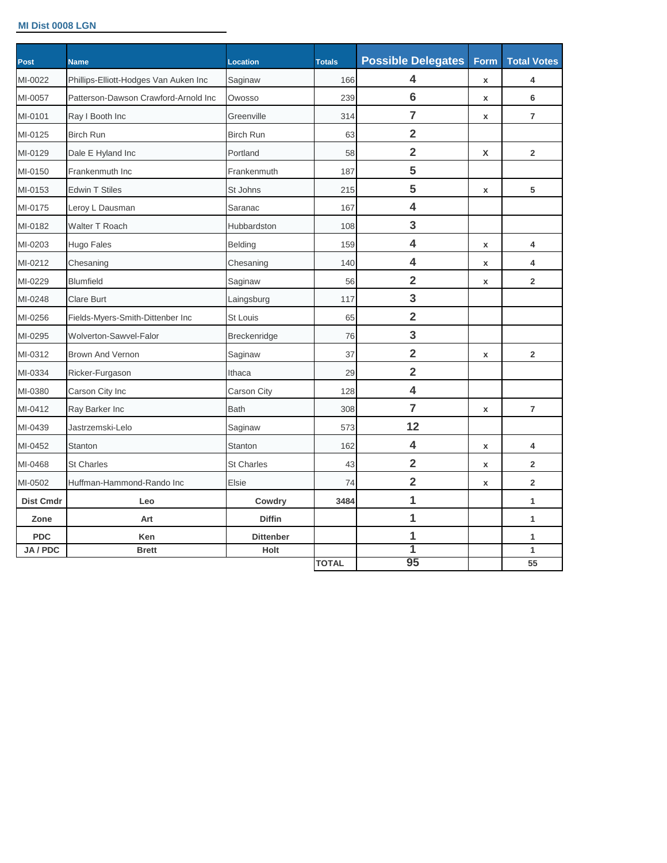#### **MI Dist 0008 LGN**

| Post             | <b>Name</b>                           | <b>Location</b>     | <b>Totals</b> | <b>Possible Delegates</b> | Form               | <b>Total Votes</b>      |
|------------------|---------------------------------------|---------------------|---------------|---------------------------|--------------------|-------------------------|
| MI-0022          | Phillips-Elliott-Hodges Van Auken Inc | Saginaw             | 166           | 4                         | $\pmb{\mathsf{x}}$ | 4                       |
| MI-0057          | Patterson-Dawson Crawford-Arnold Inc  | Owosso              | 239           | $6\phantom{1}6$           | $\pmb{\mathsf{x}}$ | 6                       |
| MI-0101          | Ray I Booth Inc                       | Greenville          | 314           | $\overline{7}$            | $\pmb{\mathsf{x}}$ | $\overline{7}$          |
| MI-0125          | <b>Birch Run</b>                      | <b>Birch Run</b>    | 63            | $\overline{\mathbf{2}}$   |                    |                         |
| MI-0129          | Dale E Hyland Inc                     | Portland            | 58            | $\overline{\mathbf{2}}$   | X                  | $\overline{2}$          |
| MI-0150          | Frankenmuth Inc                       | Frankenmuth         | 187           | 5                         |                    |                         |
| MI-0153          | <b>Edwin T Stiles</b>                 | St Johns            | 215           | 5                         | $\pmb{\mathsf{x}}$ | 5                       |
| MI-0175          | Leroy L Dausman                       | Saranac             | 167           | 4                         |                    |                         |
| MI-0182          | <b>Walter T Roach</b>                 | Hubbardston         | 108           | 3                         |                    |                         |
| MI-0203          | Hugo Fales                            | <b>Belding</b>      | 159           | $\overline{\mathbf{4}}$   | $\pmb{\mathsf{x}}$ | $\overline{\mathbf{4}}$ |
| MI-0212          | Chesaning                             | Chesaning           | 140           | $\overline{\mathbf{4}}$   | $\pmb{\mathsf{x}}$ | 4                       |
| MI-0229          | <b>Blumfield</b>                      | Saginaw             | 56            | $\overline{\mathbf{2}}$   | $\pmb{\mathsf{x}}$ | $\overline{2}$          |
| MI-0248          | <b>Clare Burt</b>                     | Laingsburg          | 117           | 3                         |                    |                         |
| MI-0256          | Fields-Myers-Smith-Dittenber Inc      | <b>St Louis</b>     | 65            | $\overline{\mathbf{2}}$   |                    |                         |
| MI-0295          | <b>Wolverton-Sawvel-Falor</b>         | <b>Breckenridge</b> | 76            | 3                         |                    |                         |
| MI-0312          | <b>Brown And Vernon</b>               | Saginaw             | 37            | $\overline{\mathbf{2}}$   | X                  | $\overline{2}$          |
| MI-0334          | Ricker-Furgason                       | Ithaca              | 29            | $\overline{\mathbf{2}}$   |                    |                         |
| MI-0380          | Carson City Inc                       | Carson City         | 128           | $\overline{\mathbf{4}}$   |                    |                         |
| MI-0412          | Ray Barker Inc                        | <b>Bath</b>         | 308           | $\overline{7}$            | $\mathbf{x}$       | $\overline{7}$          |
| MI-0439          | Jastrzemski-Lelo                      | Saginaw             | 573           | 12                        |                    |                         |
| MI-0452          | Stanton                               | Stanton             | 162           | $\overline{\mathbf{4}}$   | $\pmb{\mathsf{x}}$ | 4                       |
| MI-0468          | <b>St Charles</b>                     | <b>St Charles</b>   | 43            | $\overline{\mathbf{2}}$   | $\pmb{\mathsf{x}}$ | $\overline{2}$          |
| MI-0502          | Huffman-Hammond-Rando Inc             | Elsie               | 74            | $\overline{\mathbf{2}}$   | $\pmb{\mathsf{x}}$ | $\overline{\mathbf{2}}$ |
| <b>Dist Cmdr</b> | Leo                                   | Cowdry              | 3484          | 1                         |                    | 1                       |
| Zone             | Art                                   | <b>Diffin</b>       |               | 1                         |                    | 1                       |
| <b>PDC</b>       | Ken                                   | <b>Dittenber</b>    |               | 1                         |                    | 1                       |
| JA / PDC         | <b>Brett</b>                          | Holt                | <b>TOTAL</b>  | 1<br>95                   |                    | $\mathbf{1}$<br>55      |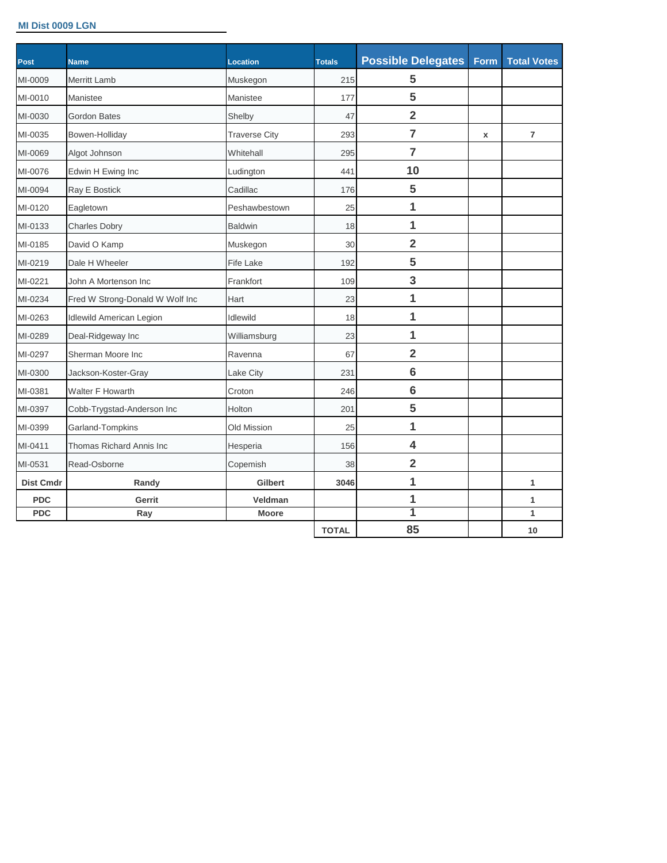#### **MI Dist 0009 LGN**

| <b>Post</b>      | <b>Name</b>                     | Location             | <b>Totals</b> | <b>Possible Delegates</b> | Form | <b>Total Votes</b> |
|------------------|---------------------------------|----------------------|---------------|---------------------------|------|--------------------|
| MI-0009          | <b>Merritt Lamb</b>             | Muskegon             | 215           | 5                         |      |                    |
| MI-0010          | Manistee                        | Manistee             | 177           | 5                         |      |                    |
| MI-0030          | <b>Gordon Bates</b>             | Shelby               | 47            | $\overline{2}$            |      |                    |
| MI-0035          | Bowen-Holliday                  | <b>Traverse City</b> | 293           | $\overline{7}$            | x    | $\overline{7}$     |
| MI-0069          | Algot Johnson                   | Whitehall            | 295           | $\overline{7}$            |      |                    |
| MI-0076          | Edwin H Ewing Inc               | Ludington            | 441           | 10                        |      |                    |
| MI-0094          | Ray E Bostick                   | Cadillac             | 176           | 5                         |      |                    |
| MI-0120          | Eagletown                       | Peshawbestown        | 25            | 1                         |      |                    |
| MI-0133          | <b>Charles Dobry</b>            | <b>Baldwin</b>       | 18            | $\mathbf{1}$              |      |                    |
| MI-0185          | David O Kamp                    | Muskegon             | 30            | $\overline{2}$            |      |                    |
| MI-0219          | Dale H Wheeler                  | <b>Fife Lake</b>     | 192           | 5                         |      |                    |
| MI-0221          | John A Mortenson Inc            | Frankfort            | 109           | 3                         |      |                    |
| MI-0234          | Fred W Strong-Donald W Wolf Inc | Hart                 | 23            | 1                         |      |                    |
| MI-0263          | <b>Idlewild American Legion</b> | <b>Idlewild</b>      | 18            | $\overline{\mathbf{1}}$   |      |                    |
| MI-0289          | Deal-Ridgeway Inc               | Williamsburg         | 23            | $\overline{1}$            |      |                    |
| MI-0297          | Sherman Moore Inc               | Ravenna              | 67            | $\overline{2}$            |      |                    |
| MI-0300          | Jackson-Koster-Gray             | Lake City            | 231           | $6\phantom{1}6$           |      |                    |
| MI-0381          | Walter F Howarth                | Croton               | 246           | $6\phantom{1}6$           |      |                    |
| MI-0397          | Cobb-Trygstad-Anderson Inc      | Holton               | 201           | 5                         |      |                    |
| MI-0399          | Garland-Tompkins                | <b>Old Mission</b>   | 25            | $\overline{1}$            |      |                    |
| MI-0411          | Thomas Richard Annis Inc        | Hesperia             | 156           | 4                         |      |                    |
| MI-0531          | Read-Osborne                    | Copemish             | 38            | $\overline{2}$            |      |                    |
| <b>Dist Cmdr</b> | Randy                           | <b>Gilbert</b>       | 3046          | 1                         |      | 1                  |
| <b>PDC</b>       | Gerrit                          | Veldman              |               | 1                         |      | 1                  |
| <b>PDC</b>       | Ray                             | <b>Moore</b>         |               | 1                         |      | $\mathbf{1}$       |
|                  |                                 |                      | <b>TOTAL</b>  | 85                        |      | 10                 |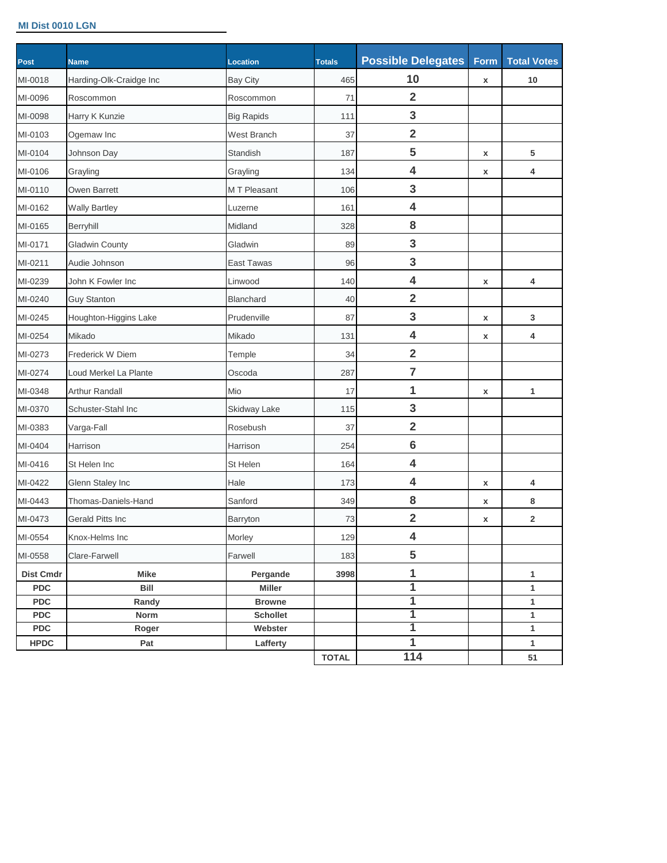#### **MI Dist 0010 LGN**

| <b>Post</b>      | <b>Name</b>             | <b>Location</b>     | <b>Totals</b> | <b>Possible Delegates</b> | Form               | <b>Total Votes</b> |
|------------------|-------------------------|---------------------|---------------|---------------------------|--------------------|--------------------|
| MI-0018          | Harding-Olk-Craidge Inc | <b>Bay City</b>     | 465           | 10                        | $\pmb{\mathsf{x}}$ | 10                 |
| MI-0096          | Roscommon               | Roscommon           | 71            | $\overline{2}$            |                    |                    |
| MI-0098          | Harry K Kunzie          | <b>Big Rapids</b>   | 111           | 3                         |                    |                    |
| MI-0103          | Ogemaw Inc              | <b>West Branch</b>  | 37            | $\overline{\mathbf{2}}$   |                    |                    |
| MI-0104          | Johnson Day             | Standish            | 187           | 5                         | X                  | 5                  |
| MI-0106          | Grayling                | Grayling            | 134           | $\overline{\mathbf{4}}$   | X                  | 4                  |
| MI-0110          | Owen Barrett            | M T Pleasant        | 106           | 3                         |                    |                    |
| MI-0162          | <b>Wally Bartley</b>    | Luzerne             | 161           | $\overline{\mathbf{4}}$   |                    |                    |
| MI-0165          | Berryhill               | Midland             | 328           | 8                         |                    |                    |
| MI-0171          | <b>Gladwin County</b>   | Gladwin             | 89            | 3                         |                    |                    |
| MI-0211          | Audie Johnson           | <b>East Tawas</b>   | 96            | 3                         |                    |                    |
| MI-0239          | John K Fowler Inc       | Linwood             | 140           | $\overline{\mathbf{4}}$   | X                  | 4                  |
| MI-0240          | <b>Guy Stanton</b>      | <b>Blanchard</b>    | 40            | $\overline{\mathbf{2}}$   |                    |                    |
| MI-0245          | Houghton-Higgins Lake   | Prudenville         | 87            | $\mathbf{3}$              | X                  | 3                  |
| MI-0254          | Mikado                  | Mikado              | 131           | $\overline{\mathbf{4}}$   | X                  | 4                  |
| MI-0273          | Frederick W Diem        | Temple              | 34            | $\overline{\mathbf{2}}$   |                    |                    |
| MI-0274          | Loud Merkel La Plante   | Oscoda              | 287           | $\overline{7}$            |                    |                    |
| MI-0348          | <b>Arthur Randall</b>   | Mio                 | 17            | 1                         | X                  | 1                  |
| MI-0370          | Schuster-Stahl Inc      | <b>Skidway Lake</b> | 115           | $\mathbf{3}$              |                    |                    |
| MI-0383          | Varga-Fall              | Rosebush            | 37            | $\overline{\mathbf{2}}$   |                    |                    |
| MI-0404          | Harrison                | Harrison            | 254           | $6\phantom{1}6$           |                    |                    |
| MI-0416          | St Helen Inc            | St Helen            | 164           | $\overline{\mathbf{4}}$   |                    |                    |
| MI-0422          | Glenn Staley Inc        | Hale                | 173           | $\overline{\mathbf{4}}$   | X                  | 4                  |
| MI-0443          | Thomas-Daniels-Hand     | Sanford             | 349           | 8                         | X                  | 8                  |
| MI-0473          | Gerald Pitts Inc        | Barryton            | 73            | $\overline{\mathbf{2}}$   | X                  | $\overline{2}$     |
| MI-0554          | Knox-Helms Inc          | Morley              | 129           | $\overline{\mathbf{4}}$   |                    |                    |
| MI-0558          | Clare-Farwell           | Farwell             | 183           | 5                         |                    |                    |
| <b>Dist Cmdr</b> | <b>Mike</b>             | Pergande            | 3998          | 1                         |                    | 1                  |
| <b>PDC</b>       | Bill                    | Miller              |               | $\overline{\mathbf{1}}$   |                    | 1                  |
| <b>PDC</b>       | Randy                   | <b>Browne</b>       |               | 1                         |                    | $\mathbf{1}$       |
| <b>PDC</b>       | Norm                    | <b>Schollet</b>     |               | 1                         |                    | 1                  |
| <b>PDC</b>       | Roger                   | Webster             |               | 1<br>$\overline{1}$       |                    | 1                  |
| <b>HPDC</b>      | Pat                     | Lafferty            | <b>TOTAL</b>  | $\overline{114}$          |                    | $\mathbf{1}$<br>51 |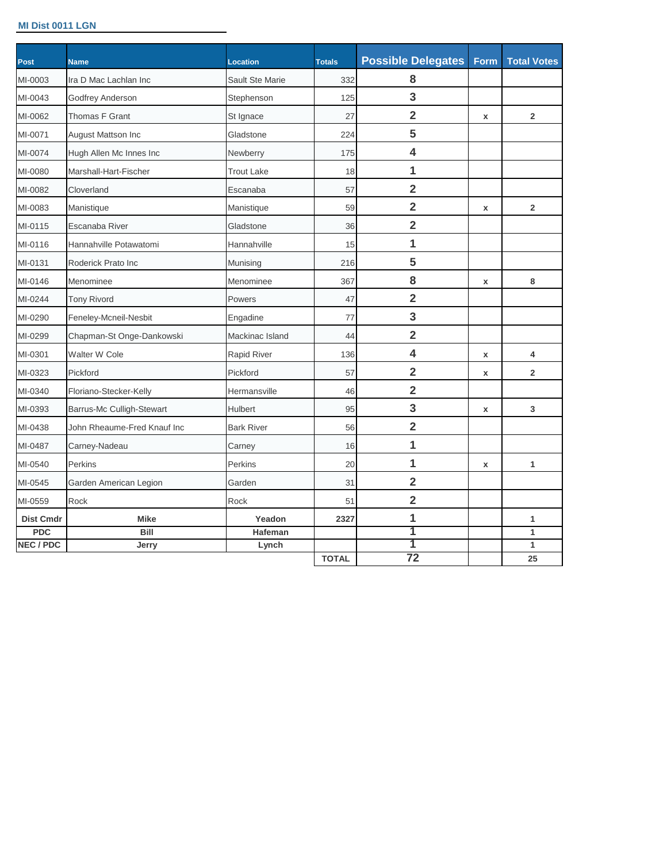#### **MI Dist 0011 LGN**

| Ira D Mac Lachlan Inc<br>Godfrey Anderson<br>Thomas F Grant | Sault Ste Marie<br>Stephenson | 332  | 8                       |                 |                |
|-------------------------------------------------------------|-------------------------------|------|-------------------------|-----------------|----------------|
|                                                             |                               |      |                         |                 |                |
|                                                             |                               | 125  | 3                       |                 |                |
|                                                             | St Ignace                     | 27   | $\overline{2}$          | x               | $\overline{2}$ |
| August Mattson Inc                                          | Gladstone                     | 224  | 5                       |                 |                |
| Hugh Allen Mc Innes Inc                                     | Newberry                      | 175  | $\overline{\mathbf{4}}$ |                 |                |
| Marshall-Hart-Fischer                                       | <b>Trout Lake</b>             | 18   | 1                       |                 |                |
| Cloverland                                                  | Escanaba                      | 57   | $\overline{\mathbf{2}}$ |                 |                |
| Manistique                                                  | Manistique                    | 59   | $\overline{\mathbf{2}}$ | x               | $\overline{2}$ |
| Escanaba River                                              | Gladstone                     | 36   | $\overline{2}$          |                 |                |
| Hannahville Potawatomi                                      | Hannahville                   | 15   | 1                       |                 |                |
| Roderick Prato Inc                                          | Munising                      | 216  | 5                       |                 |                |
| Menominee                                                   | Menominee                     | 367  | 8                       | x               | 8              |
| <b>Tony Rivord</b>                                          | Powers                        | 47   | $\overline{2}$          |                 |                |
| Feneley-Mcneil-Nesbit                                       | Engadine                      | 77   | 3                       |                 |                |
| Chapman-St Onge-Dankowski                                   | Mackinac Island               | 44   | $\overline{2}$          |                 |                |
| Walter W Cole                                               | <b>Rapid River</b>            | 136  | 4                       | x               | 4              |
| Pickford                                                    | Pickford                      | 57   | $\overline{2}$          | x               | $\overline{2}$ |
| Floriano-Stecker-Kelly                                      | Hermansville                  | 46   | $\overline{\mathbf{2}}$ |                 |                |
| Barrus-Mc Culligh-Stewart                                   | Hulbert                       | 95   | 3                       | x               | 3              |
| John Rheaume-Fred Knauf Inc                                 | <b>Bark River</b>             | 56   | $\overline{\mathbf{2}}$ |                 |                |
| Carney-Nadeau                                               | Carney                        | 16   | 1                       |                 |                |
| <b>Perkins</b>                                              | Perkins                       | 20   | 1                       | x               | 1              |
| Garden American Legion                                      | Garden                        | 31   | $\overline{\mathbf{2}}$ |                 |                |
| Rock                                                        | Rock                          | 51   | $\overline{2}$          |                 |                |
| <b>Mike</b>                                                 | Yeadon                        | 2327 | 1                       |                 | 1              |
| Bill                                                        | Hafeman                       |      | 1                       |                 | 1              |
| Jerry                                                       | Lynch                         |      | 1                       |                 | 1<br>25        |
|                                                             |                               |      | <b>TOTAL</b>            | $\overline{72}$ |                |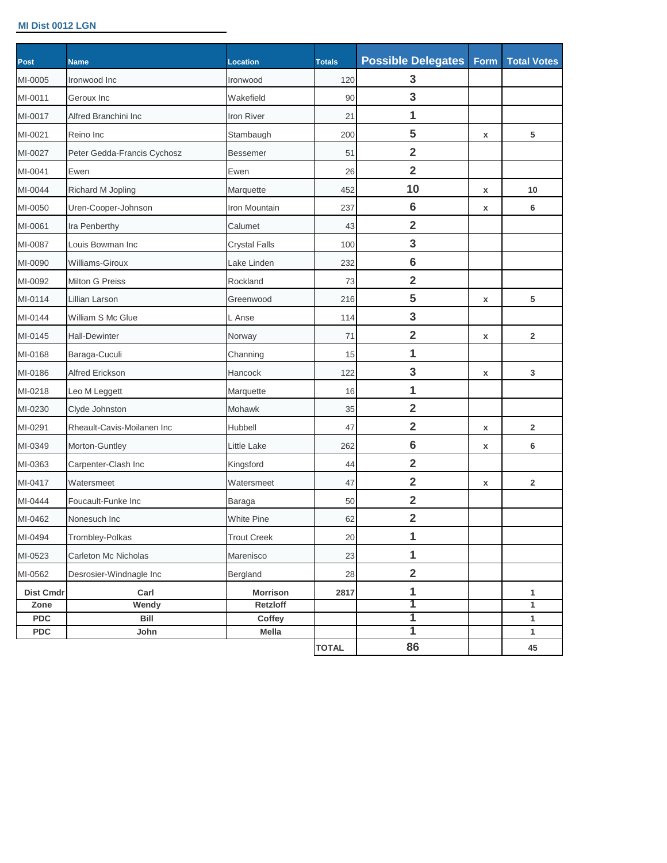#### **MI Dist 0012 LGN**

| <b>Post</b>      | <b>Name</b>                 | Location             | <b>Totals</b> | <b>Possible Delegates</b> | Form | <b>Total Votes</b> |
|------------------|-----------------------------|----------------------|---------------|---------------------------|------|--------------------|
| MI-0005          | Ironwood Inc                | Ironwood             | 120           | 3                         |      |                    |
| MI-0011          | Geroux Inc                  | Wakefield            | 90            | 3                         |      |                    |
| MI-0017          | Alfred Branchini Inc        | <b>Iron River</b>    | 21            | 1                         |      |                    |
| MI-0021          | Reino Inc                   | Stambaugh            | 200           | 5                         | x    | 5                  |
| MI-0027          | Peter Gedda-Francis Cychosz | <b>Bessemer</b>      | 51            | $\overline{\mathbf{2}}$   |      |                    |
| MI-0041          | Ewen                        | Ewen                 | 26            | $\overline{2}$            |      |                    |
| MI-0044          | Richard M Jopling           | Marquette            | 452           | 10                        | x    | 10                 |
| MI-0050          | Uren-Cooper-Johnson         | Iron Mountain        | 237           | $6\phantom{1}6$           | x    | 6                  |
| MI-0061          | Ira Penberthy               | Calumet              | 43            | $\overline{\mathbf{2}}$   |      |                    |
| MI-0087          | Louis Bowman Inc            | <b>Crystal Falls</b> | 100           | 3                         |      |                    |
| MI-0090          | Williams-Giroux             | Lake Linden          | 232           | $6\phantom{1}6$           |      |                    |
| MI-0092          | <b>Milton G Preiss</b>      | Rockland             | 73            | $\overline{\mathbf{2}}$   |      |                    |
| MI-0114          | Lillian Larson              | Greenwood            | 216           | 5                         | x    | 5                  |
| MI-0144          | William S Mc Glue           | L Anse               | 114           | 3                         |      |                    |
| MI-0145          | <b>Hall-Dewinter</b>        | Norway               | 71            | $\overline{\mathbf{2}}$   | X    | $\overline{2}$     |
| MI-0168          | Baraga-Cuculi               | Channing             | 15            | 1                         |      |                    |
| MI-0186          | <b>Alfred Erickson</b>      | Hancock              | 122           | 3                         | x    | 3                  |
| MI-0218          | Leo M Leggett               | Marquette            | 16            | 1                         |      |                    |
| MI-0230          | Clyde Johnston              | Mohawk               | 35            | $\overline{2}$            |      |                    |
| MI-0291          | Rheault-Cavis-Moilanen Inc  | Hubbell              | 47            | $\overline{2}$            | x    | $\overline{2}$     |
| MI-0349          | Morton-Guntley              | Little Lake          | 262           | $6\phantom{1}6$           | x    | 6                  |
| MI-0363          | Carpenter-Clash Inc         | Kingsford            | 44            | $\overline{2}$            |      |                    |
| MI-0417          | Watersmeet                  | Watersmeet           | 47            | $\overline{2}$            | x    | $\overline{2}$     |
| MI-0444          | Foucault-Funke Inc          | Baraga               | 50            | $\overline{\mathbf{2}}$   |      |                    |
| MI-0462          | Nonesuch Inc                | <b>White Pine</b>    | 62            | $\overline{2}$            |      |                    |
| MI-0494          | Trombley-Polkas             | <b>Trout Creek</b>   | 20            | 1                         |      |                    |
| MI-0523          | Carleton Mc Nicholas        | Marenisco            | 23            | 1                         |      |                    |
| MI-0562          | Desrosier-Windnagle Inc     | Bergland             | 28            | $\overline{\mathbf{2}}$   |      |                    |
| <b>Dist Cmdr</b> | Carl                        | <b>Morrison</b>      | 2817          | 1                         |      | 1                  |
| Zone             | Wendy                       | Retzloff             |               | 1                         |      | 1                  |
| <b>PDC</b>       | Bill                        | Coffey               |               | 1                         |      | $\mathbf{1}$       |
| <b>PDC</b>       | John                        | Mella                |               | 1                         |      | 1                  |
|                  |                             |                      | <b>TOTAL</b>  | 86                        |      | 45                 |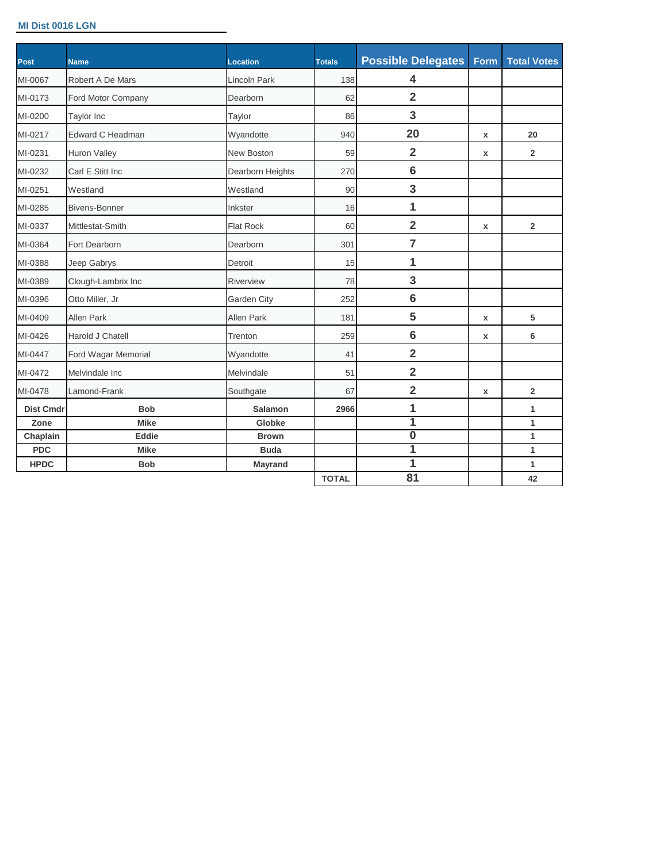#### **MI Dist 0016 LGN**

| Post             | <b>Name</b>          | <b>Location</b>     | <b>Totals</b> | <b>Possible Delegates</b> | Form        | <b>Total Votes</b> |
|------------------|----------------------|---------------------|---------------|---------------------------|-------------|--------------------|
| MI-0067          | Robert A De Mars     | <b>Lincoln Park</b> | 138           | 4                         |             |                    |
| MI-0173          | Ford Motor Company   | Dearborn            | 62            | $\overline{\mathbf{2}}$   |             |                    |
| MI-0200          | Taylor Inc           | Taylor              | 86            | 3                         |             |                    |
| MI-0217          | Edward C Headman     | Wyandotte           | 940           | 20                        | x           | 20                 |
| MI-0231          | <b>Huron Valley</b>  | <b>New Boston</b>   | 59            | $\overline{2}$            | x           | $\overline{2}$     |
| MI-0232          | Carl E Stitt Inc     | Dearborn Heights    | 270           | $6\phantom{1}6$           |             |                    |
| MI-0251          | Westland             | Westland            | 90            | 3                         |             |                    |
| MI-0285          | <b>Bivens-Bonner</b> | Inkster             | 16            | $\overline{1}$            |             |                    |
| MI-0337          | Mittlestat-Smith     | <b>Flat Rock</b>    | 60            | $\overline{2}$            | x           | $\overline{2}$     |
| MI-0364          | Fort Dearborn        | Dearborn            | 301           | $\overline{7}$            |             |                    |
| MI-0388          | Jeep Gabrys          | Detroit             | 15            | 1                         |             |                    |
| MI-0389          | Clough-Lambrix Inc   | Riverview           | 78            | 3                         |             |                    |
| MI-0396          | Otto Miller, Jr      | Garden City         | 252           | $6\phantom{1}6$           |             |                    |
| MI-0409          | <b>Allen Park</b>    | <b>Allen Park</b>   | 181           | 5                         | $\mathbf x$ | 5                  |
| MI-0426          | Harold J Chatell     | Trenton             | 259           | $6\phantom{1}6$           | x           | 6                  |
| MI-0447          | Ford Wagar Memorial  | Wyandotte           | 41            | $\overline{2}$            |             |                    |
| MI-0472          | Melvindale Inc       | Melvindale          | 51            | $\overline{2}$            |             |                    |
| MI-0478          | Lamond-Frank         | Southgate           | 67            | $\overline{2}$            | x           | $\overline{2}$     |
| <b>Dist Cmdr</b> | <b>Bob</b>           | <b>Salamon</b>      | 2966          | 1                         |             | 1                  |
| Zone             | <b>Mike</b>          | Globke              |               | 1                         |             | $\mathbf{1}$       |
| Chaplain         | Eddie                | <b>Brown</b>        |               | $\overline{\mathbf{0}}$   |             | 1                  |
| <b>PDC</b>       | <b>Mike</b>          | <b>Buda</b>         |               | 1                         |             | $\mathbf{1}$       |
| <b>HPDC</b>      | <b>Bob</b>           | Mayrand             |               | $\overline{1}$            |             | 1                  |
|                  |                      |                     | <b>TOTAL</b>  | 81                        |             | 42                 |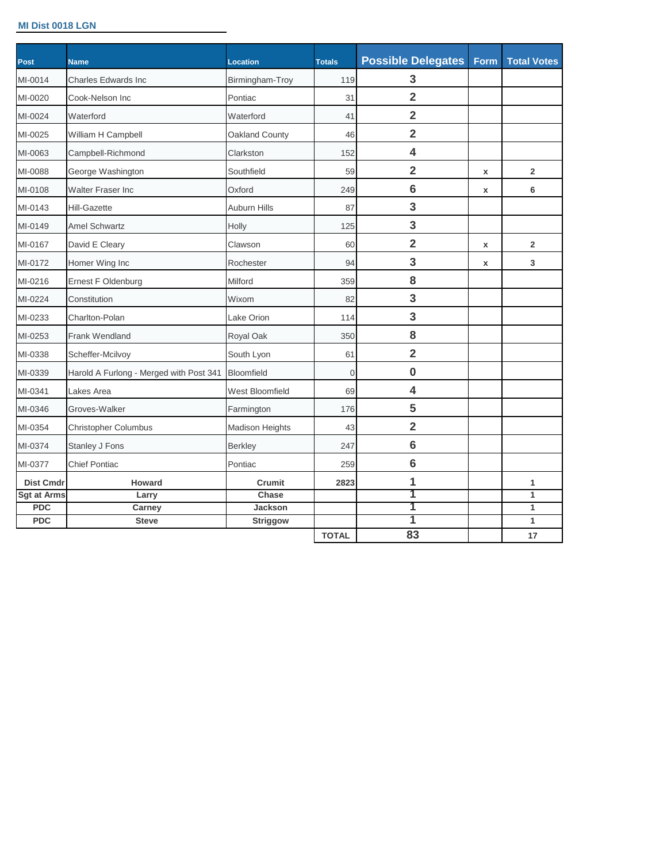#### **MI Dist 0018 LGN**

| <b>Post</b>      | <b>Name</b>                             | <b>Location</b>        | <b>Totals</b> | <b>Possible Delegates</b> | Form | <b>Total Votes</b> |
|------------------|-----------------------------------------|------------------------|---------------|---------------------------|------|--------------------|
| MI-0014          | <b>Charles Edwards Inc</b>              | Birmingham-Troy        | 119           | 3                         |      |                    |
| MI-0020          | Cook-Nelson Inc                         | Pontiac                | 31            | $\overline{2}$            |      |                    |
| MI-0024          | Waterford                               | Waterford              | 41            | $\overline{2}$            |      |                    |
| MI-0025          | William H Campbell                      | Oakland County         | 46            | $\overline{2}$            |      |                    |
| MI-0063          | Campbell-Richmond                       | Clarkston              | 152           | 4                         |      |                    |
| MI-0088          | George Washington                       | Southfield             | 59            | $\overline{2}$            | x    | $\overline{2}$     |
| MI-0108          | <b>Walter Fraser Inc</b>                | Oxford                 | 249           | $6\phantom{1}6$           | x    | 6                  |
| MI-0143          | <b>Hill-Gazette</b>                     | Auburn Hills           | 87            | 3                         |      |                    |
| MI-0149          | <b>Amel Schwartz</b>                    | Holly                  | 125           | 3                         |      |                    |
| MI-0167          | David E Cleary                          | Clawson                | 60            | $\overline{2}$            | x    | $\overline{2}$     |
| MI-0172          | Homer Wing Inc                          | Rochester              | 94            | 3                         | x    | 3                  |
| MI-0216          | Ernest F Oldenburg                      | Milford                | 359           | 8                         |      |                    |
| MI-0224          | Constitution                            | Wixom                  | 82            | 3                         |      |                    |
| MI-0233          | Charlton-Polan                          | Lake Orion             | 114           | 3                         |      |                    |
| MI-0253          | <b>Frank Wendland</b>                   | Royal Oak              | 350           | 8                         |      |                    |
| MI-0338          | Scheffer-Mcilvoy                        | South Lyon             | 61            | $\overline{2}$            |      |                    |
| MI-0339          | Harold A Furlong - Merged with Post 341 | <b>Bloomfield</b>      | $\mathbf 0$   | $\bf{0}$                  |      |                    |
| MI-0341          | Lakes Area                              | <b>West Bloomfield</b> | 69            | 4                         |      |                    |
| MI-0346          | Groves-Walker                           | Farmington             | 176           | 5                         |      |                    |
| MI-0354          | Christopher Columbus                    | <b>Madison Heights</b> | 43            | $\overline{2}$            |      |                    |
| MI-0374          | Stanley J Fons                          | <b>Berkley</b>         | 247           | $6\phantom{1}6$           |      |                    |
| MI-0377          | <b>Chief Pontiac</b>                    | Pontiac                | 259           | $6\phantom{1}6$           |      |                    |
| <b>Dist Cmdr</b> | <b>Howard</b>                           | Crumit                 | 2823          | 1                         |      | 1                  |
| Sgt at Arms      | Larry                                   | Chase                  |               | 1                         |      | $\mathbf{1}$       |
| <b>PDC</b>       | Carney                                  | Jackson                |               | 1                         |      | $\mathbf{1}$       |
| <b>PDC</b>       | <b>Steve</b>                            | <b>Striggow</b>        |               | 1                         |      | $\mathbf{1}$       |
|                  |                                         |                        | <b>TOTAL</b>  | 83                        |      | 17                 |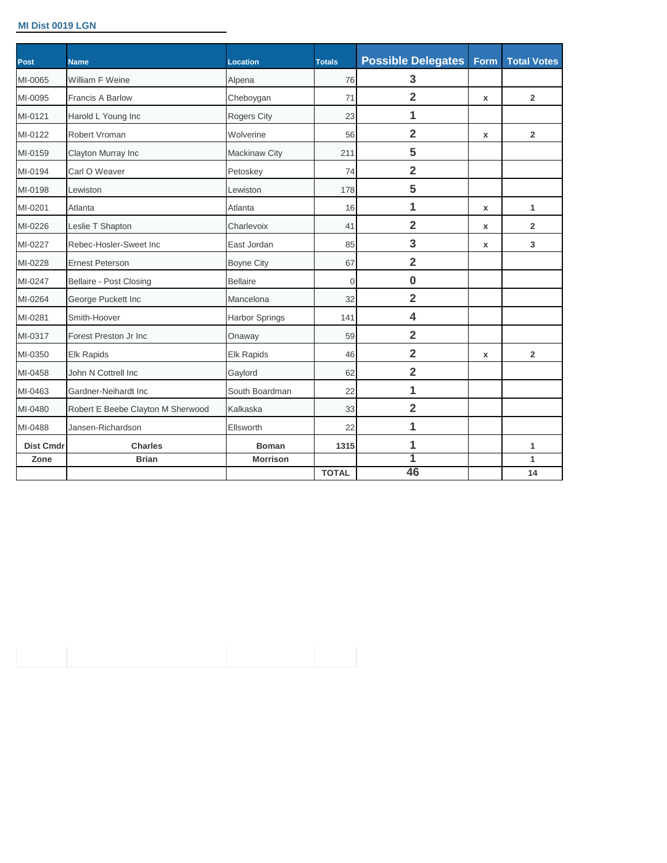## **MI Dist 0019 LGN**

| Post             | <b>Name</b>                       | <b>Location</b>       | <b>Totals</b> | <b>Possible Delegates</b> | Form         | <b>Total Votes</b>      |
|------------------|-----------------------------------|-----------------------|---------------|---------------------------|--------------|-------------------------|
| MI-0065          | William F Weine                   | Alpena                | 76            | 3                         |              |                         |
| MI-0095          | <b>Francis A Barlow</b>           | Cheboygan             | 71            | $\overline{2}$            | x            | $\overline{2}$          |
| MI-0121          | Harold L Young Inc                | Rogers City           | 23            | 1                         |              |                         |
| MI-0122          | Robert Vroman                     | Wolverine             | 56            | $\overline{2}$            | $\mathbf{x}$ | $\overline{2}$          |
| MI-0159          | Clayton Murray Inc                | <b>Mackinaw City</b>  | 211           | 5                         |              |                         |
| MI-0194          | Carl O Weaver                     | Petoskey              | 74            | $\overline{\mathbf{2}}$   |              |                         |
| MI-0198          | Lewiston                          | Lewiston              | 178           | 5                         |              |                         |
| MI-0201          | Atlanta                           | Atlanta               | 16            | 1                         | x            | $\mathbf{1}$            |
| MI-0226          | Leslie T Shapton                  | Charlevoix            | 41            | $\overline{2}$            | x            | $\overline{2}$          |
| MI-0227          | Rebec-Hosler-Sweet Inc            | East Jordan           | 85            | 3                         | x            | 3                       |
| MI-0228          | <b>Ernest Peterson</b>            | <b>Boyne City</b>     | 67            | $\overline{2}$            |              |                         |
| MI-0247          | Bellaire - Post Closing           | <b>Bellaire</b>       | $\mathbf 0$   | $\bf{0}$                  |              |                         |
| MI-0264          | George Puckett Inc                | Mancelona             | 32            | $\overline{2}$            |              |                         |
| MI-0281          | Smith-Hoover                      | <b>Harbor Springs</b> | 141           | 4                         |              |                         |
| MI-0317          | Forest Preston Jr Inc             | Onaway                | 59            | $\overline{2}$            |              |                         |
| MI-0350          | <b>Elk Rapids</b>                 | <b>Elk Rapids</b>     | 46            | $\overline{2}$            | $\mathbf x$  | $\overline{\mathbf{2}}$ |
| MI-0458          | John N Cottrell Inc               | Gaylord               | 62            | $\overline{2}$            |              |                         |
| MI-0463          | Gardner-Neihardt Inc              | South Boardman        | 22            | 1                         |              |                         |
| MI-0480          | Robert E Beebe Clayton M Sherwood | Kalkaska              | 33            | $\overline{2}$            |              |                         |
| MI-0488          | Jansen-Richardson                 | Ellsworth             | 22            | $\overline{1}$            |              |                         |
| <b>Dist Cmdr</b> | <b>Charles</b>                    | <b>Boman</b>          | 1315          | 1                         |              | 1                       |
| Zone             | <b>Brian</b>                      | <b>Morrison</b>       |               | 1                         |              | 1                       |
|                  |                                   |                       | <b>TOTAL</b>  | 46                        |              | 14                      |